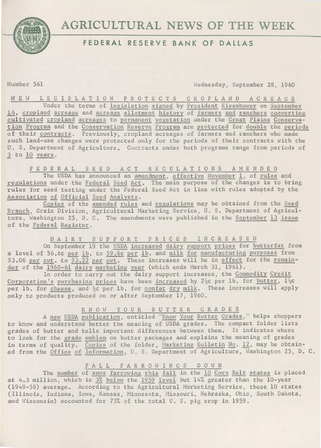

# FEDERAL RESERVE BANK OF DALLAS

Number 561 Wednesday, September 28, 1960

N E W L E G I S L A T I 0 N P R 0 T E C T S C R 0 P L A N D A C R E A G E Under the terms of legislation signed by President Eisenhower on September 14, cropland acreage and acreage allotment history of farmers and ranchers converting cultivated cropland acreages to permanent vegetation under the Great Plains Conservation Program and the Conservation Reserve Program are protected for double the periods of their contracts. Previously, cropland acreages of farmers and ranchers who made such land-use changes were protected only for the periods of their contracts with the U. S. Department of Agriculture. Contracts under both programs range from periods of 3 to 10 years.

FEDERAL SEED ACT REGULATIONS AMENDED

The USDA has announced an amendment, effective November 1, of rules and regulations under the Federal Seed Act. The main purpose of the changes is to bring rules for seed testing under the Federal Seed Act in line with rules adopted by the Association of Official Seed Analysts.

Copies of the amended rules and regulations may be obtained from the Seed Branch, Grain Division, Agricultural Marketing Service, U. S, Department of Agriculture, Washington 25, D. C. The amendments were published in the September 13 issue of the Federal Register,

D A I R Y S U P P 0 R T P R I C E S I N C R E A S E D

On September 19 the USDA increased dairy support prices for butterfat from a level of 56.6¢ per 1b. to 59.6¢ per 1b. and milk for manufacturing purposes from \$3.06 per cwt. to  $$3.22$  per cwt. These increases will be in effect for the remainder of the 1960-61 dairy marketing year (which ends March 31, 1961).

In order to carry out the dairy support increases, the Commodity Credit Corporation's purchasing prices have been increased by  $2\frac{1}{2}c$  per 1b. for butter,  $1\frac{1}{2}c$ per 1b. for cheese, and  $\frac{1}{2}$ c per 1b. for nonfat dry milk. These increases will apply only to products produced on or after September 17, 1960.

## KN OW YOUR BUTTER GRADES

A new USDA publication, entitled "Know Your Butter Grades," helps shoppers to know and understand better the meaning of USDA grades. The compact folder lists grades of butter and tells important differences between them. It indicates where to look for the grade emblem on butter packages and explains the meaning of grades in terms of quality. Copies of the folder, Marketing Bulletin No. 12, may be obtained from the Office of Information, U. S. Department of Agriculture, Washington 25, D. C.

## FALL FARROWINGS DOWN

The number of sows farrowing this fall in the 10 Corn Belt states is placed at 4.3 million, which is 3% below the 1959 level but 14% greater than the 10-year (1949-58) average. According to the Agricultural Marketing Service, these 10 states (Illinois, Indiana, Iowa, Kansas, Minnesota, Missouri, Nebraska, Ohio, South Dakota, and Wisconsin) accounted for 73% of the total U. S, pig crop in 1959.